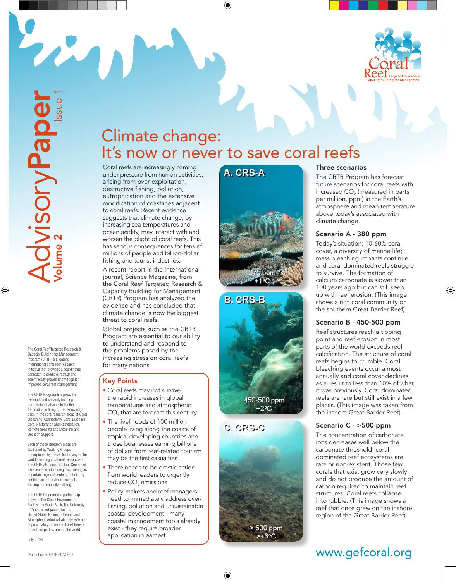

The Coral Reef Targeted Research & Capacity Building for Management Program (CRTR) is a leading international coral reef research initiative that provides a coordinated approach to credible, factual and scientifically-proven knowledge for improved coral reef management.

The CRTR Program is a proactive research and capacity building partnership that aims to lay the foundation in filling crucial knowledge gaps in the core research areas of Coral Bleaching, Connectivity, Coral Diseases, Coral Restoration and Remediation, Remote Sensing and Modeling and Decision Support.

Each of these research areas are facilitated by Working Groups underpinned by the skills of many of the world's leading coral reef researchers. The CRTR also supports four Centers of Excellence in priority regions, serving as important regional centers for building confidence and skills in research, training and capacity building.

The CRTR Program is a partnership<br>between the Global Environment Facility, the World Bank, The University of Queensland (Australia), the United States National Oceanic and Atmospheric Administration (NOAA) and approximately 50 research institutes & other third parties around the world.

July 2008

## Climate change: It's now or never to save coral reefs

Coral reefs are increasingly coming under pressure from human activities, arising from over-exploitation, destructive fishing, pollution, eutrophication and the extensive modification of coastlines adjacent to coral reefs. Recent evidence suggests that climate change, by increasing sea temperatures and ocean acidity, may interact with and worsen the plight of coral reefs. This has serious consequences for tens of millions of people and billion-dollar fishing and tourist industries.

A recent report in the international journal, Science Magazine, from the Coral Reef Targeted Research & Capacity Building for Management (CRTR) Program has analyzed the evidence and has concluded that climate change is now the biggest threat to coral reefs.

Global projects such as the CRTR Program are essential to our ability to understand and respond to the problems posed by the increasing stress on coral reefs for many nations.

#### Key Points

- Coral reefs may not survive the rapid increases in global temperatures and atmospheric  $\mathsf{CO}_2^{}$  that are forecast this century
- The livelihoods of 100 million people living along the coasts of tropical developing countries and those businesses earning billions of dollars from reef-related tourism may be the first casualties
- There needs to be drastic action from world leaders to urgently reduce CO $_{\textrm{\tiny{2}}}$  emissions
- Policy-makers and reef managers need to immediately address overfishing, pollution and unsustainable coastal development - many coastal management tools already exist - they require broader application in earnest

# A. CRS-A







> 500 ppm

#### Three scenarios

The CRTR Program has forecast future scenarios for coral reefs with increased CO<sub>2</sub> (measured in parts per million, ppm) in the Earth's atmosphere and mean temperature above today's associated with climate change.

#### Scenario A - 380 ppm

Today's situation; 10-60% coral cover, a diversity of marine life; mass bleaching impacts continue and coral dominated reefs struggle to survive. The formation of calcium carbonate is slower than 100 years ago but can still keep up with reef erosion. (This image shows a rich coral community on the southern Great Barrier Reef)

#### Scenario B - 450-500 ppm

Reef structures reach a tipping point and reef erosion in most parts of the world exceeds reef calcification. The structure of coral reefs begins to crumble. Coral bleaching events occur almost annually and coral cover declines as a result to less than 10% of what it was previously. Coral dominated reefs are rare but still exist in a few places. (This image was taken from the inshore Great Barrier Reef)

#### Scenario C - >500 ppm

The concentration of carbonate ions decreases well below the carbonate threshold; coraldominated reef ecosystems are rare or non-existent. Those few corals that exist grow very slowly and do not produce the amount of carbon required to maintain reef structures. Coral reefs collapse into rubble. (This image shows a reef that once grew on the inshore region of the Great Barrier Reef)

## www.gefcoral.org